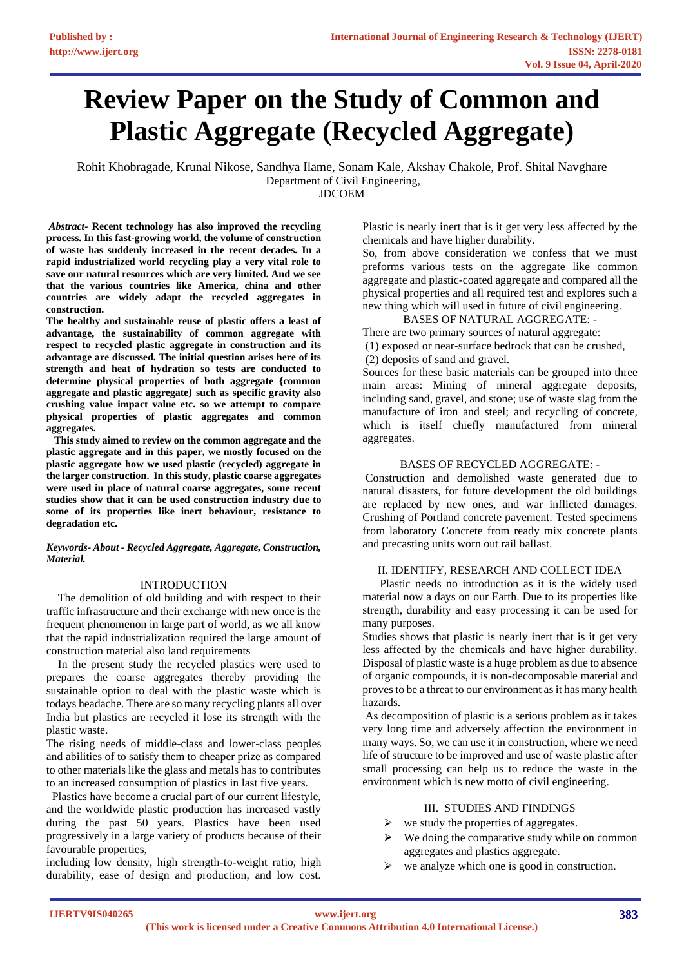# **Review Paper on the Study of Common and Plastic Aggregate (Recycled Aggregate)**

Rohit Khobragade, Krunal Nikose, Sandhya Ilame, Sonam Kale, Akshay Chakole, Prof. Shital Navghare Department of Civil Engineering, JDCOEM

*Abstract-* **Recent technology has also improved the recycling process. In this fast-growing world, the volume of construction of waste has suddenly increased in the recent decades. In a rapid industrialized world recycling play a very vital role to save our natural resources which are very limited. And we see that the various countries like America, china and other countries are widely adapt the recycled aggregates in construction.**

**The healthy and sustainable reuse of plastic offers a least of advantage, the sustainability of common aggregate with respect to recycled plastic aggregate in construction and its advantage are discussed. The initial question arises here of its strength and heat of hydration so tests are conducted to determine physical properties of both aggregate {common aggregate and plastic aggregate} such as specific gravity also crushing value impact value etc. so we attempt to compare physical properties of plastic aggregates and common aggregates.**

 **This study aimed to review on the common aggregate and the plastic aggregate and in this paper, we mostly focused on the plastic aggregate how we used plastic (recycled) aggregate in the larger construction. In this study, plastic coarse aggregates were used in place of natural coarse aggregates, some recent studies show that it can be used construction industry due to some of its properties like inert behaviour, resistance to degradation etc.**

*Keywords- About - Recycled Aggregate, Aggregate, Construction, Material.*

## INTRODUCTION

 The demolition of old building and with respect to their traffic infrastructure and their exchange with new once is the frequent phenomenon in large part of world, as we all know that the rapid industrialization required the large amount of construction material also land requirements

 In the present study the recycled plastics were used to prepares the coarse aggregates thereby providing the sustainable option to deal with the plastic waste which is todays headache. There are so many recycling plants all over India but plastics are recycled it lose its strength with the plastic waste.

The rising needs of middle-class and lower-class peoples and abilities of to satisfy them to cheaper prize as compared to other materials like the glass and metals has to contributes to an increased consumption of plastics in last five years.

 Plastics have become a crucial part of our current lifestyle, and the worldwide plastic production has increased vastly during the past 50 years. Plastics have been used progressively in a large variety of products because of their favourable properties,

including low density, high strength-to-weight ratio, high durability, ease of design and production, and low cost. Plastic is nearly inert that is it get very less affected by the chemicals and have higher durability.

So, from above consideration we confess that we must preforms various tests on the aggregate like common aggregate and plastic-coated aggregate and compared all the physical properties and all required test and explores such a new thing which will used in future of civil engineering.

BASES OF NATURAL AGGREGATE: -

There are two primary sources of natural aggregate:

(1) exposed or near-surface bedrock that can be crushed, (2) deposits of sand and gravel.

Sources for these basic materials can be grouped into three main areas: Mining of mineral aggregate deposits, including sand, gravel, and stone; use of waste slag from the manufacture of iron and steel; and recycling of concrete, which is itself chiefly manufactured from mineral aggregates.

## BASES OF RECYCLED AGGREGATE: -

Construction and demolished waste generated due to natural disasters, for future development the old buildings are replaced by new ones, and war inflicted damages. Crushing of Portland concrete pavement. Tested specimens from laboratory Concrete from ready mix concrete plants and precasting units worn out rail ballast.

#### II. IDENTIFY, RESEARCH AND COLLECT IDEA

 Plastic needs no introduction as it is the widely used material now a days on our Earth. Due to its properties like strength, durability and easy processing it can be used for many purposes.

Studies shows that plastic is nearly inert that is it get very less affected by the chemicals and have higher durability. Disposal of plastic waste is a huge problem as due to absence of organic compounds, it is non-decomposable material and proves to be a threat to our environment as it has many health hazards.

As decomposition of plastic is a serious problem as it takes very long time and adversely affection the environment in many ways. So, we can use it in construction, where we need life of structure to be improved and use of waste plastic after small processing can help us to reduce the waste in the environment which is new motto of civil engineering.

## III. STUDIES AND FINDINGS

- $\triangleright$  we study the properties of aggregates.
- We doing the comparative study while on common aggregates and plastics aggregate.
- $\triangleright$  we analyze which one is good in construction.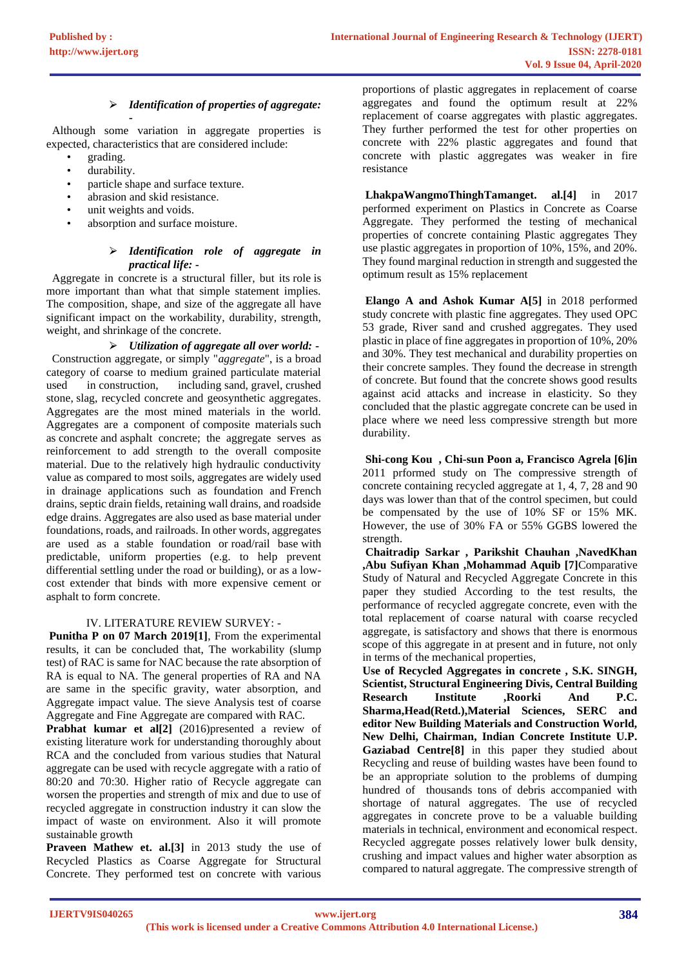#### ⮚ *Identification of properties of aggregate:*

*-* Although some variation in aggregate properties is expected, characteristics that are considered include:

- grading.
- durability.
- particle shape and surface texture.
- abrasion and skid resistance.
- unit weights and voids.
- absorption and surface moisture.

## ⮚ *Identification role of aggregate in practical life: -*

 Aggregate in concrete is a structural filler, but its role is more important than what that simple statement implies. The composition, shape, and size of the aggregate all have significant impact on the workability, durability, strength, weight, and shrinkage of the concrete.

⮚ *Utilization of aggregate all over world: -* Construction aggregate, or simply "*[aggregate](https://en.wikipedia.org/wiki/Aggregate_(composite))*", is a broad category of coarse to medium grained particulate material used in [construction,](https://en.wikipedia.org/wiki/Construction) including [sand,](https://en.wikipedia.org/wiki/Sand) [gravel,](https://en.wikipedia.org/wiki/Gravel) [crushed](https://en.wikipedia.org/wiki/Crushed_stone)  [stone,](https://en.wikipedia.org/wiki/Crushed_stone) [slag,](https://en.wikipedia.org/wiki/Slag) recycled concrete and geosynthetic aggregates. Aggregates are the most mined materials in the world. Aggregates are a component of [composite materials](https://en.wikipedia.org/wiki/Composite_material) such as [concrete](https://en.wikipedia.org/wiki/Concrete) and [asphalt concrete;](https://en.wikipedia.org/wiki/Asphalt_concrete) the aggregate serves as reinforcement to add strength to the overall composite material. Due to the relatively high hydraulic conductivity value as compared to most soils, aggregates are widely used in drainage applications such as foundation and [French](https://en.wikipedia.org/wiki/French_drains)  [drains,](https://en.wikipedia.org/wiki/French_drains) septic drain fields, retaining wall drains, and roadside edge drains. Aggregates are also used as base material under foundations, roads, and [railroads.](https://en.wikipedia.org/wiki/Railroad) In other words, aggregates are used as a stable foundation or [road/rail base](https://en.wikipedia.org/wiki/Aggregate_base) with predictable, uniform properties (e.g. to help prevent differential settling under the road or building), or as a lowcost extender that binds with more expensive cement or asphalt to form concrete.

## IV. LITERATURE REVIEW SURVEY: -

**Punitha P on 07 March 2019[1]**, From the experimental results, it can be concluded that, The workability (slump test) of RAC is same for NAC because the rate absorption of RA is equal to NA. The general properties of RA and NA are same in the specific gravity, water absorption, and Aggregate impact value. The sieve Analysis test of coarse Aggregate and Fine Aggregate are compared with RAC.

**Prabhat kumar et all<sup>2</sup>**] (2016)presented a review of existing literature work for understanding thoroughly about RCA and the concluded from various studies that Natural aggregate can be used with recycle aggregate with a ratio of 80:20 and 70:30. Higher ratio of Recycle aggregate can worsen the properties and strength of mix and due to use of recycled aggregate in construction industry it can slow the impact of waste on environment. Also it will promote sustainable growth

**Praveen Mathew et. al.[3]** in 2013 study the use of Recycled Plastics as Coarse Aggregate for Structural Concrete. They performed test on concrete with various

proportions of plastic aggregates in replacement of coarse aggregates and found the optimum result at 22% replacement of coarse aggregates with plastic aggregates. They further performed the test for other properties on concrete with 22% plastic aggregates and found that concrete with plastic aggregates was weaker in fire resistance

**LhakpaWangmoThinghTamanget. al.[4]** in 2017 performed experiment on Plastics in Concrete as Coarse Aggregate. They performed the testing of mechanical properties of concrete containing Plastic aggregates They use plastic aggregates in proportion of 10%, 15%, and 20%. They found marginal reduction in strength and suggested the optimum result as 15% replacement

**Elango A and Ashok Kumar A[5]** in 2018 performed study concrete with plastic fine aggregates. They used OPC 53 grade, River sand and crushed aggregates. They used plastic in place of fine aggregates in proportion of 10%, 20% and 30%. They test mechanical and durability properties on their concrete samples. They found the decrease in strength of concrete. But found that the concrete shows good results against acid attacks and increase in elasticity. So they concluded that the plastic aggregate concrete can be used in place where we need less compressive strength but more durability.

**Shi-cong Kou , Chi-sun Poon a, Francisco Agrela [6]in** 2011 prformed study on The compressive strength of concrete containing recycled aggregate at 1, 4, 7, 28 and 90 days was lower than that of the control specimen, but could be compensated by the use of 10% SF or 15% MK. However, the use of 30% FA or 55% GGBS lowered the strength.

**Chaitradip Sarkar , Parikshit Chauhan ,NavedKhan ,Abu Sufiyan Khan ,Mohammad Aquib [7]**Comparative Study of Natural and Recycled Aggregate Concrete in this paper they studied According to the test results, the performance of recycled aggregate concrete, even with the total replacement of coarse natural with coarse recycled aggregate, is satisfactory and shows that there is enormous scope of this aggregate in at present and in future, not only in terms of the mechanical properties,

**Use of Recycled Aggregates in concrete , S.K. SINGH, Scientist, Structural Engineering Divis, Central Building Research Institute ,Roorki And P.C. Sharma,Head(Retd.),Material Sciences, SERC and editor New Building Materials and Construction World, New Delhi, Chairman, Indian Concrete Institute U.P. Gaziabad Centre[8]** in this paper they studied about Recycling and reuse of building wastes have been found to be an appropriate solution to the problems of dumping hundred of thousands tons of debris accompanied with shortage of natural aggregates. The use of recycled aggregates in concrete prove to be a valuable building materials in technical, environment and economical respect. Recycled aggregate posses relatively lower bulk density, crushing and impact values and higher water absorption as compared to natural aggregate. The compressive strength of